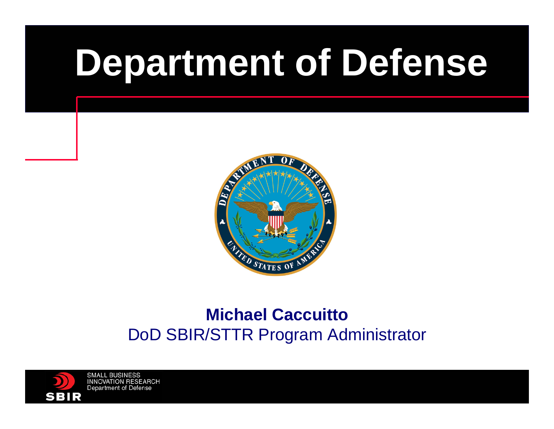# **Department of Defense**



#### **Michael Caccuitto**DoD SBIR/STTR Program Administrator

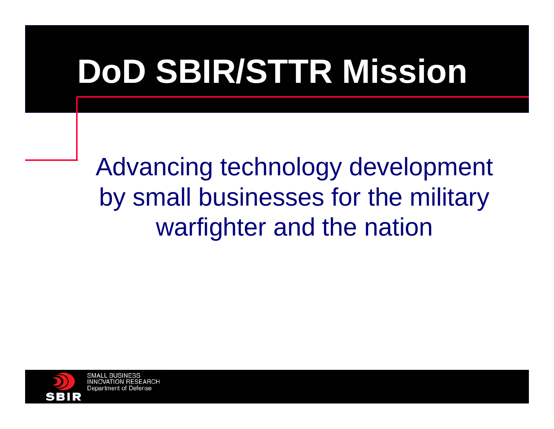### **DoD SBIR/STTR Mission**

Advancing technology development by small businesses for the military warfighter and the nation

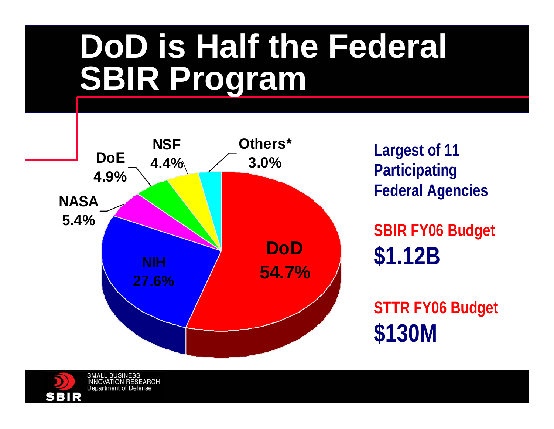### **DoD is Half the Federal SBIR Program**



**Largest of 11 Participating Federal Agencies**

**SBIR FY06 Budget \$1.12B**

**STTR FY06 Budget \$130M**

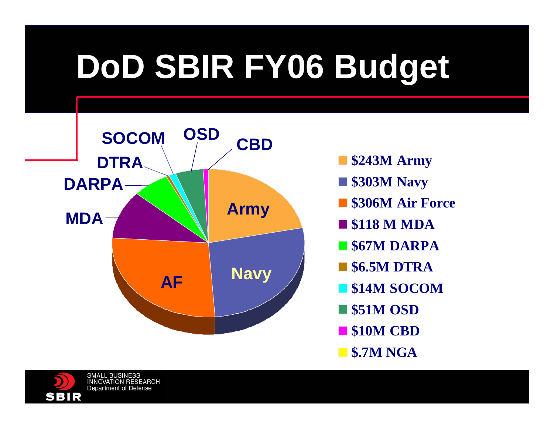# **DoD SBIR FY06 Budget**



- **\$243M Army**
- **\$303M Navy**
- **\$306M Air Force**
- **\$118 M MDA**
- **\$67M DARPA**
- **\$6.5M DTRA**
- **\$14M SOCOM**
- **\$51M OSD**
- **\$10M CBD**
- **\$.7M NGA**

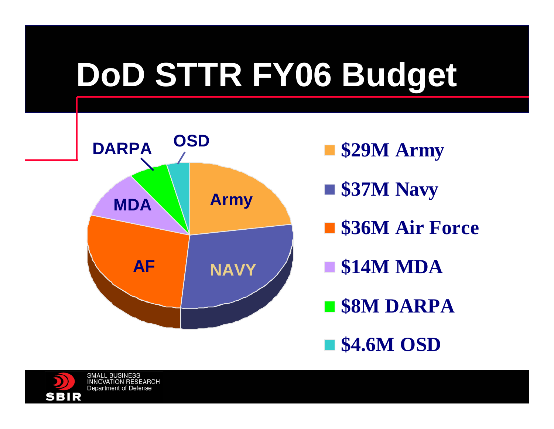# **DoD STTR FY06 Budget**



- **\$29M Army**
- \$37M Navy
- \$36M Air Force
- **\$14M MDA**
- **\$8M DARPA**
- **\$4.6M OSD**

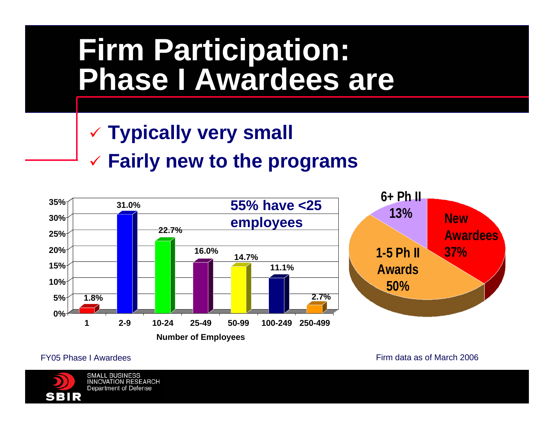### **Firm Participation: Phase I Awardees are**

#### 9 **Typically very small**

#### 9 **Fairly new to the programs**



FY05 Phase I Awardees

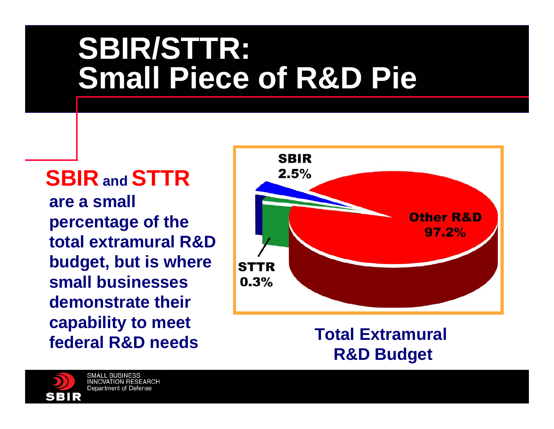### **SBIR/STTR: Small Piece of R&D Pie**

**SBIR and STTR are a small percentage of the total extramural R&D budget, but is where small businesses demonstrate their capability to meet federal R&D needs**



**Total Extramural R&D Budget**

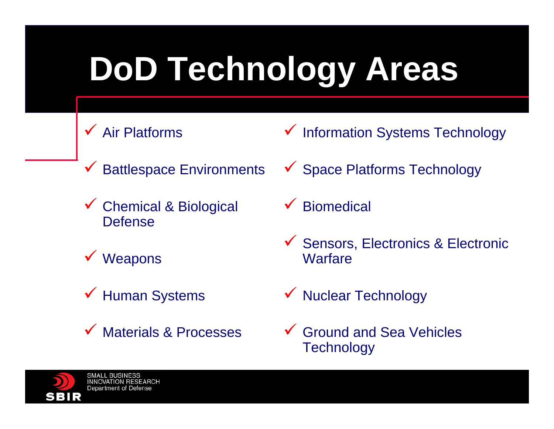# **DoD Technology Areas**

- $\checkmark$  Air Platforms
- $\checkmark$ Battlespace Environments
- $\sqrt{ }$  Chemical & Biological Defense
- $\checkmark$  Weapons
- $\checkmark$  Human Systems
- $\checkmark$ Materials & Processes
- $\checkmark$ Information Systems Technology
- ◆ Space Platforms Technology
- $\checkmark$ **Biomedical**
- $\checkmark$  Sensors, Electronics & Electronic **Warfare**
- ◆ Nuclear Technology
- $\checkmark$  Ground and Sea Vehicles **Technology**

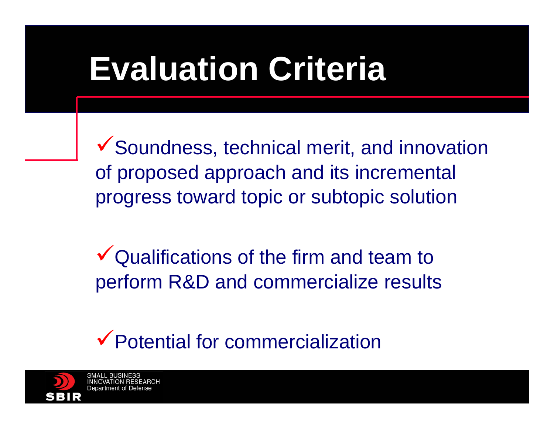### **Evaluation Criteria**

 $\checkmark$  Soundness, technical merit, and innovation of proposed approach and its incremental progress toward topic or subtopic solution

 $\sqrt{\frac{1}{2}}$  Qualifications of the firm and team to perform R&D and commercialize results

 $\checkmark$  Potential for commercialization

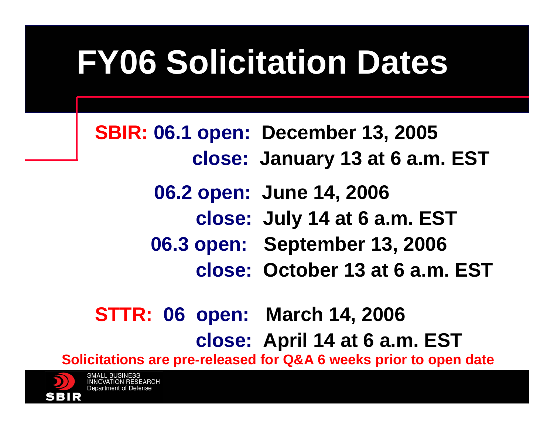# **FY06 Solicitation Dates**

**SBIR: 06.1 open: December 13, 2005 close: January 13 at 6 a.m. EST**

> **06.2 open: June 14, 2006 close: July 14 at 6 a.m. EST**

**06.3 open: September 13, 2006**

**close: October 13 at 6 a.m. EST**

#### **STTR: 06 open: March 14, 2006 close: April 14 at 6 a.m. EST**

**Solicitations are pre-released for Q&A 6 weeks prior to open date**

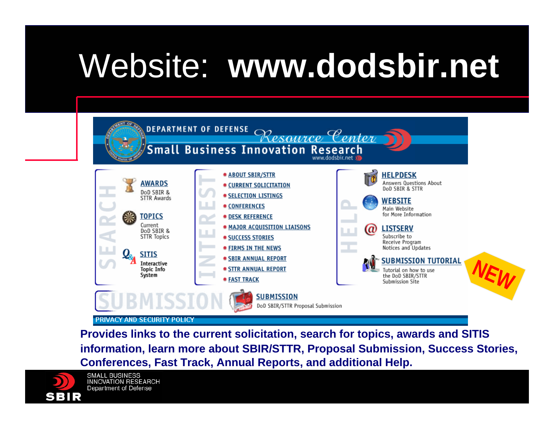## Website: **www.dodsbir.net**



**Provides links to the current solicitation, search for topics, awards and SITIS information, learn more about SBIR/STTR, Proposal Submission, Success Stories, Conferences, Fast Track, Annual Reports, and additional Help.**

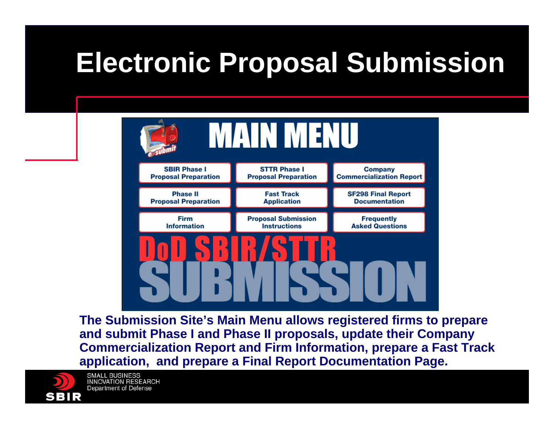### **Electronic Proposal Submission**



**The Submission Site's Main Menu allows registered firms to prepare and submit Phase I and Phase II proposals, update their Company Commercialization Report and Firm Information, prepare a Fast Track application, and prepare a Final Report Documentation Page.**

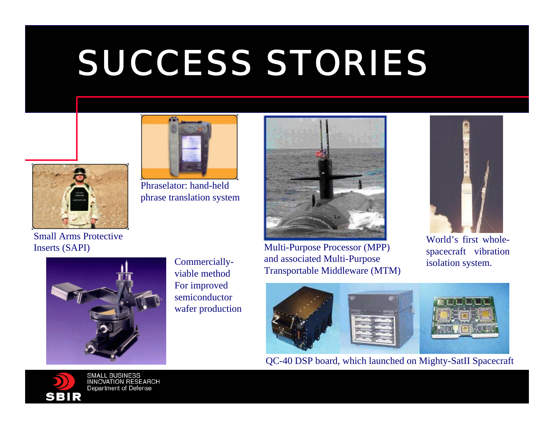# SUCCESS STORIES



Inserts (SAPI)



Phraselator: hand-held phrase translation system



Multi-Purpose Processor (MPP) and associated Multi-Purpose Transportable Middleware (MTM)



World's first wholespacecraft vibration isolation system.



Commerciallyviable method For improved semiconductor wafer production



QC-40 DSP board, which launched on Mighty-SatII Spacecraft

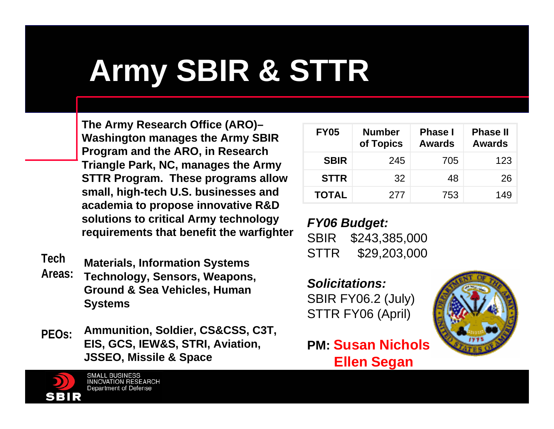### **Army SBIR & STTR**

**The Army Research Office (ARO)– Washington manages the Army SBIR Program and the ARO, in Research Triangle Park, NC, manages the Army STTR Program. These programs allow small, high-tech U.S. businesses and academia to propose innovative R&D solutions to critical Army technology requirements that benefit the warfighter**

- **Materials, Information Systems Technology, Sensors, Weapons, Ground & Sea Vehicles, Human Systems TechAreas:**
- **Ammunition, Soldier, CS&CSS, C3T, EIS, GCS, IEW&S, STRI, Aviation, JSSEO, Missile & Space PEOs:**

**SMALL BUSINESS INNOVATION RESEARCH Department of Defense** 

| <b>FY05</b>  | <b>Number</b><br>of Topics | <b>Phase I</b><br>Awards | <b>Phase II</b><br><b>Awards</b> |
|--------------|----------------------------|--------------------------|----------------------------------|
| <b>SBIR</b>  | 245                        | 705                      | 123                              |
| <b>STTR</b>  | 32                         | 48                       | 26                               |
| <b>TOTAL</b> | 277                        | 753                      | 149                              |

*FY06 Budget:* SBIR \$243,385,000 STTR \$29,203,000

*Solicitations:*SBIR FY06.2 (July) STTR FY06 (April)



**PM: Susan NicholsEllen Segan**

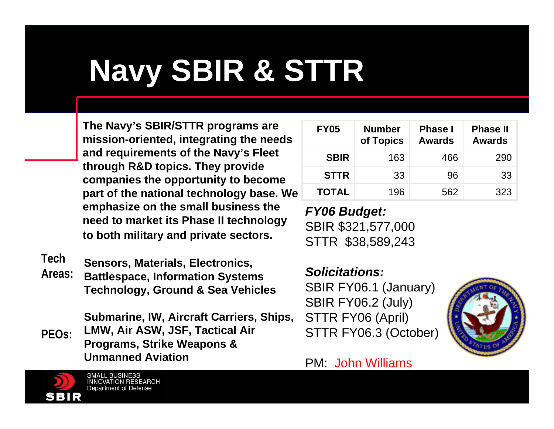### **Navy SBIR & STTR**

**The Navy's SBIR/STTR programs are mission-oriented, integrating the needs and requirements of the Navy's Fleet through R&D topics. They provide companies the opportunity to become part of the national technology base. We emphasize on the small business the need to market its Phase II technology to both military and private sectors.**

**Tech**

**Sensors, Materials, Electronics, Battlespace, Information Systems Technology, Ground & Sea Vehicles Areas:**

**Submarine, IW, Aircraft Carriers, Ships, LMW, Air ASW, JSF, Tactical Air Programs, Strike Weapons & Unmanned AviationPEOs:**

| <b>FY05</b>  | <b>Number</b><br>of Topics | <b>Phase I</b><br><b>Awards</b> | <b>Phase II</b><br><b>Awards</b> |
|--------------|----------------------------|---------------------------------|----------------------------------|
| <b>SBIR</b>  | 163                        | 466                             | 290                              |
| <b>STTR</b>  | 33                         | 96                              | 33                               |
| <b>TOTAL</b> | 196                        | 562                             | 323                              |

*FY06 Budget:* SBIR \$321,577,000 STTR \$38,589,243

*Solicitations:*SBIR FY06.1 (January) SBIR FY06.2 (July) STTR FY06 (April) STTR FY06.3 (October)



#### PM: John Williams

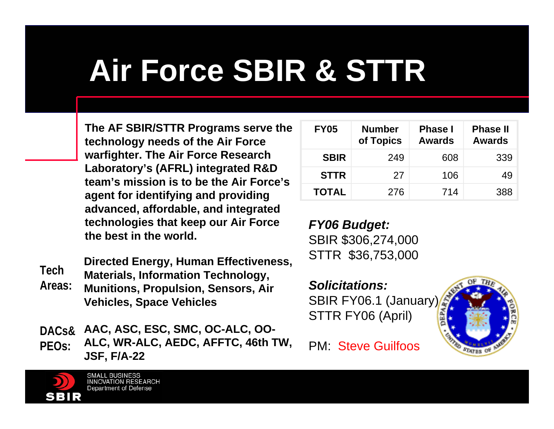### **Air Force SBIR & STTR**

**The AF SBIR/STTR Programs serve the technology needs of the Air Force warfighter. The Air Force Research Laboratory's (AFRL) integrated R&D team's mission is to be the Air Force's agent for identifying and providing advanced, affordable, and integrated technologies that keep our Air Force the best in the world.**

**Directed Energy, Human Effectiveness, Materials, Information Technology, TechAreas:**

**Munitions, Propulsion, Sensors, Air Vehicles, Space Vehicles** 

**AAC, ASC, ESC, SMC, OC-ALC, OO-ALC, WR-ALC, AEDC, AFFTC, 46th TW, JSF, F/A-22 DACs&PEOs:**

| <b>FY05</b>  | <b>Number</b><br>of Topics | <b>Phase I</b><br><b>Awards</b> | <b>Phase II</b><br><b>Awards</b> |
|--------------|----------------------------|---------------------------------|----------------------------------|
| <b>SBIR</b>  | 249                        | 608                             | 339                              |
| <b>STTR</b>  | 27                         | 106                             | 49                               |
| <b>TOTAL</b> | 276                        | 714                             | 388                              |

*FY06 Budget:* SBIR \$306,274,000 STTR \$36,753,000

*Solicitations:*SBIR FY06.1 (January) STTR FY06 (April)



PM: Steve Guilfoos

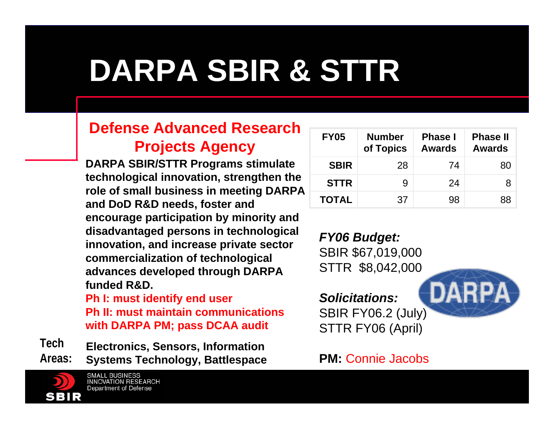### **DARPA SBIR & STTR**

#### **Defense Advanced Research Projects Agency**

**DARPA SBIR/STTR Programs stimulate technological innovation, strengthen the role of small business in meeting DARPA and DoD R&D needs, foster and encourage participation by minority and disadvantaged persons in technological innovation, and increase private sector commercialization of technological advances developed through DARPA funded R&D.**

**Ph I: must identify end user Ph II: must maintain communications with DARPA PM; pass DCAA audit**

**Electronics, Sensors, Information Systems Technology, Battlespace TechAreas:**

> **SMALL BUSINESS INNOVATION RESEARCH Department of Defense**

| <b>FY05</b>  | <b>Number</b><br>of Topics | <b>Phase I</b><br><b>Awards</b> | <b>Phase II</b><br><b>Awards</b> |
|--------------|----------------------------|---------------------------------|----------------------------------|
| <b>SBIR</b>  | 28                         | 74                              | 80                               |
| <b>STTR</b>  | 9                          | 24                              |                                  |
| <b>TOTAL</b> | 37                         | 98                              | 88                               |

*FY06 Budget:* SBIR \$67,019,000 STTR \$8,042,000

*Solicitations:*SBIR FY06.2 (July) STTR FY06 (April)

DARPA

#### **PM:** Connie Jacobs

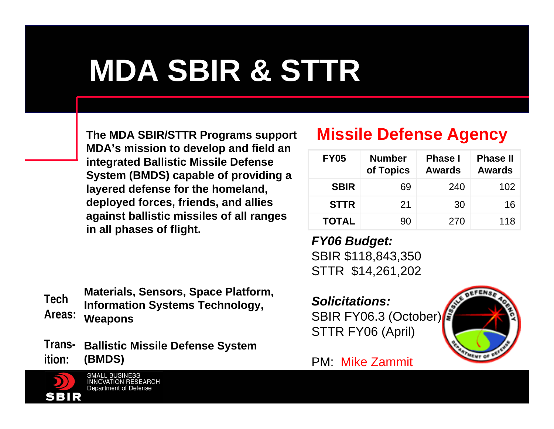### **MDA SBIR & STTR**

**The MDA SBIR/STTR Programs support MDA's mission to develop and field an integrated Ballistic Missile Defense System (BMDS) capable of providing a layered defense for the homeland, deployed forces, friends, and allies against ballistic missiles of all ranges in all phases of flight.**

#### **Missile Defense Agency**

| <b>FY05</b>  | <b>Number</b><br>of Topics | <b>Phase I</b><br><b>Awards</b> | <b>Phase II</b><br><b>Awards</b> |
|--------------|----------------------------|---------------------------------|----------------------------------|
| <b>SBIR</b>  | 69                         | 240                             | 102                              |
| <b>STTR</b>  | 21                         | 30                              | 16                               |
| <b>TOTAL</b> | 90                         | 270                             | 118                              |

*FY06 Budget:* SBIR \$118,843,350 STTR \$14,261,202

*Solicitations:*SBIR FY06.3 (October) STTR FY06 (April)



#### PM: Mike Zammit

**Materials, Sensors, Space Platform, Information Systems Technology, Weapons TechAreas:**

**Ballistic Missile Defense System Trans-(BMDS) ition:**

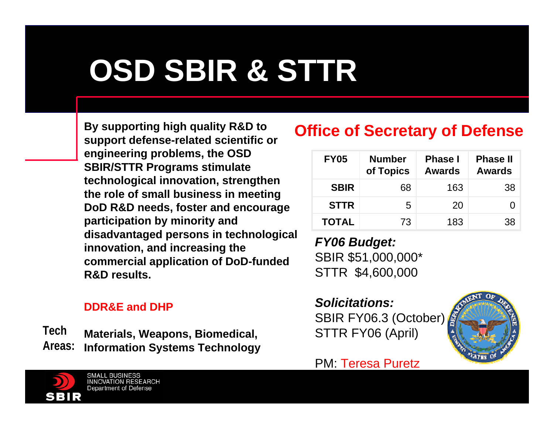### **OSD SBIR & STTR**

**By supporting high quality R&D to support defense-related scientific or engineering problems, the OSD SBIR/STTR Programs stimulate technological innovation, strengthen the role of small business in meeting DoD R&D needs, foster and encourage participation by minority and disadvantaged persons in technological innovation, and increasing the commercial application of DoD-funded R&D results.**

#### **DDR&E and DHP**

**TechAreas:**

**Materials, Weapons, Biomedical, Information Systems Technology**

#### **Office of Secretary of Defense**

| <b>FY05</b>  | <b>Number</b><br>of Topics | <b>Phase I</b><br><b>Awards</b> | <b>Phase II</b><br><b>Awards</b> |
|--------------|----------------------------|---------------------------------|----------------------------------|
| <b>SBIR</b>  | 68                         | 163                             | 38                               |
| <b>STTR</b>  | 5                          | 20                              |                                  |
| <b>TOTAL</b> | 73                         | 183                             | 38                               |

*FY06 Budget:* SBIR \$51,000,000\* STTR \$4,600,000

*Solicitations:*SBIR FY06.3 (October) STTR FY06 (April)



#### PM: Teresa Puretz

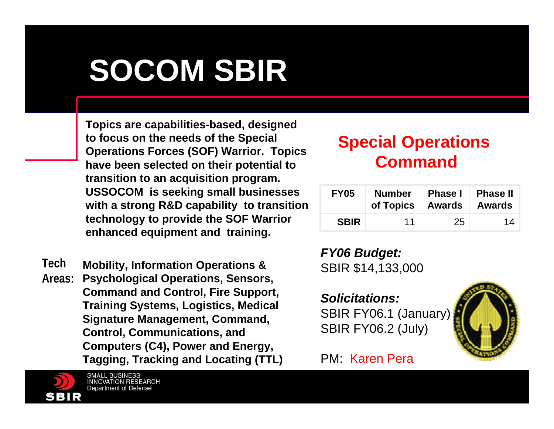### **SOCOM SBIR**

**Topics are capabilities-based, designed to focus on the needs of the Special Operations Forces (SOF) Warrior. Topics have been selected on their potential to transition to an acquisition program. USSOCOM is seeking small businesses with a strong R&D capability to transition technology to provide the SOF Warrior enhanced equipment and training.**

**Mobility, Information Operations & Psychological Operations, Sensors, Command and Control, Fire Support, Training Systems, Logistics, Medical Signature Management, Command, Control, Communications, and Computers (C4), Power and Energy, Tagging, Tracking and Locating (TTL) TechAreas:**



#### **Special Operations Command**

| <b>FY05</b> | <b>Number</b><br>of Topics   Awards | <b>Phase I</b> | <b>Phase II</b><br><b>Awards</b> |
|-------------|-------------------------------------|----------------|----------------------------------|
| <b>SBIR</b> | 11                                  | 25             | 14                               |

*FY06 Budget:* SBIR \$14,133,000

*Solicitations:*SBIR FY06.1 (January) SBIR FY06.2 (July)



#### PM: Karen Pera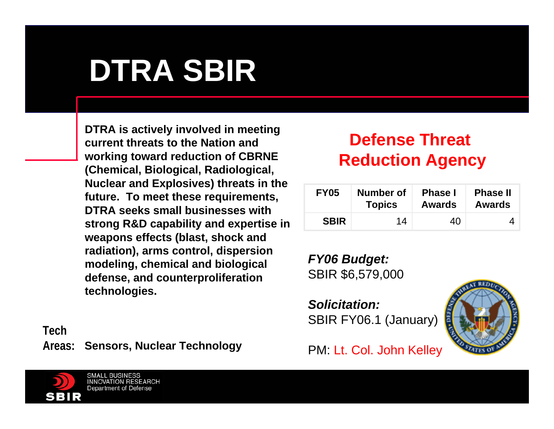### **DTRA SBIR**

**DTRA is actively involved in meeting current threats to the Nation and working toward reduction of CBRNE (Chemical, Biological, Radiological, Nuclear and Explosives) threats in the future. To meet these requirements, DTRA seeks small businesses with strong R&D capability and expertise in weapons effects (blast, shock and radiation), arms control, dispersion modeling, chemical and biological defense, and counterproliferation technologies.** 

**Sensors, Nuclear Technology Areas:Tech**

#### **Defense Threat Reduction Agency**

| <b>FY05</b> | Number of     | <b>Phase I</b> | <b>Phase II</b> |
|-------------|---------------|----------------|-----------------|
|             | <b>Topics</b> | Awards         | <b>Awards</b>   |
| <b>SBIR</b> | 14            | 40             |                 |

*FY06 Budget:* SBIR \$6,579,000

*Solicitation:*SBIR FY06.1 (January)



PM: Lt. Col. John Kelley

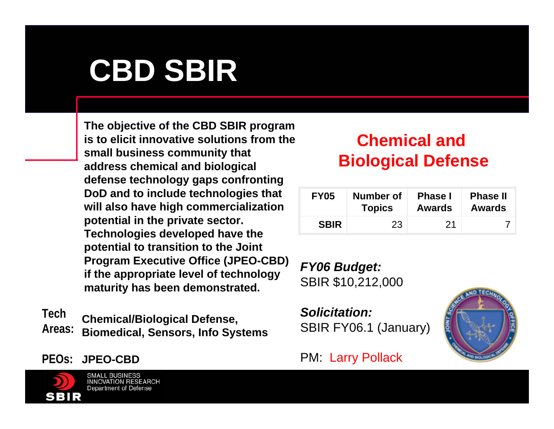### **CBD SBIR**

**The objective of the CBD SBIR program is to elicit innovative solutions from the small business community that address chemical and biological defense technology gaps confronting DoD and to include technologies that will also have high commercialization potential in the private sector. Technologies developed have the potential to transition to the Joint Program Executive Office (JPEO-CBD) if the appropriate level of technology maturity has been demonstrated.**

**Chemical/Biological Defense, Biomedical, Sensors, Info Systems TechAreas:**

**JPEO-CBDPEOs:**



**SMALL BUSINESS INNOVATION RESEARCH Department of Defense** 

#### **Chemical and Biological Defense**

| <b>FY05</b> | Number of     | <b>Phase I</b> | <b>Phase II</b> |
|-------------|---------------|----------------|-----------------|
|             | <b>Topics</b> | <b>Awards</b>  | <b>Awards</b>   |
| <b>SBIR</b> | 23            | -21            |                 |

*FY06 Budget:* SBIR \$10,212,000

*Solicitation:*SBIR FY06.1 (January)



#### PM: Larry Pollack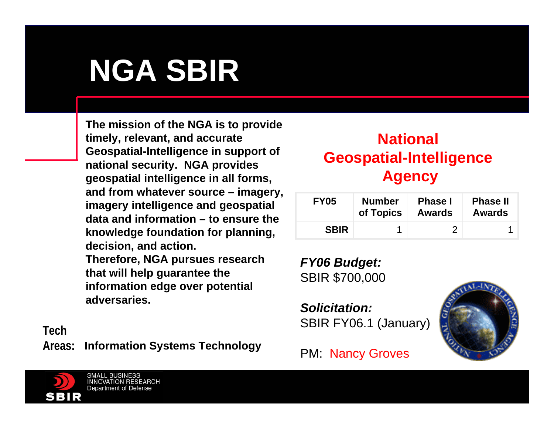### **NGA SBIR**

**The mission of the NGA is to provide timely, relevant, and accurate Geospatial-Intelligence in support of national security. NGA provides geospatial intelligence in all forms, and from whatever source – imagery, imagery intelligence and geospatial data and information – to ensure the knowledge foundation for planning, decision, and action.** 

**Therefore, NGA pursues research that will help guarantee the information edge over potential adversaries.**

**Information Systems Technology Areas:Tech**

#### **National Geospatial-Intelligence Agency**

| <b>FY05</b> | <b>Number</b> | <b>Phase I</b> | <b>Phase II</b> |
|-------------|---------------|----------------|-----------------|
|             | of Topics     | <b>Awards</b>  | <b>Awards</b>   |
| <b>SBIR</b> |               |                |                 |

*FY06 Budget:* SBIR \$700,000

*Solicitation:*SBIR FY06.1 (January)

PM: Nancy Groves